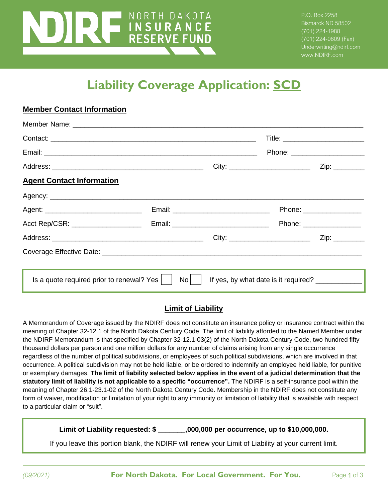# NORTH DAKOTA **INSURANCE**<br>RESERVE FUND

**Member Contact Information**

P.O. Box 2258 Bismarck ND 58502 (701) 224-1988 (701) 224-0609 (Fax) Underwriting@ndirf.com www.NDIRF.com

# **Liability Coverage Application: SCD**

|                                                         |    |                                            | Phone: ________________________                                                                                      |  |
|---------------------------------------------------------|----|--------------------------------------------|----------------------------------------------------------------------------------------------------------------------|--|
|                                                         |    |                                            | City: _____________________________                                                                                  |  |
| <b>Agent Contact Information</b>                        |    |                                            |                                                                                                                      |  |
|                                                         |    |                                            |                                                                                                                      |  |
|                                                         |    | Email: ___________________________________ | Phone: _________________                                                                                             |  |
|                                                         |    |                                            | Phone: __________________                                                                                            |  |
|                                                         |    |                                            | Zip: _________                                                                                                       |  |
|                                                         |    |                                            |                                                                                                                      |  |
|                                                         |    |                                            | <u> 1989 - Jan Samuel Barbara, marka a shekara ta 1989 - An tsara tsara tsara tsara tsara tsara tsara tsara tsar</u> |  |
| Is a quote required prior to renewal? Yes $\vert \vert$ | No |                                            | If yes, by what date is it required?                                                                                 |  |

#### **Limit of Liability**

A Memorandum of Coverage issued by the NDIRF does not constitute an insurance policy or insurance contract within the meaning of Chapter 32-12.1 of the North Dakota Century Code. The limit of liability afforded to the Named Member under the NDIRF Memorandum is that specified by Chapter 32-12.1-03(2) of the North Dakota Century Code, two hundred fifty thousand dollars per person and one million dollars for any number of claims arising from any single occurrence regardless of the number of political subdivisions, or employees of such political subdivisions, which are involved in that occurrence. A political subdivision may not be held liable, or be ordered to indemnify an employee held liable, for punitive or exemplary damages. **The limit of liability selected below applies in the event of a judicial determination that the statutory limit of liability is not applicable to a specific "occurrence".** The NDIRF is a self-insurance pool within the meaning of Chapter 26.1-23.1-02 of the North Dakota Century Code. Membership in the NDIRF does not constitute any form of waiver, modification or limitation of your right to any immunity or limitation of liability that is available with respect to a particular claim or "suit".

**Limit of Liability requested: \$ \_\_\_\_\_\_\_,000,000 per occurrence, up to \$10,000,000.**

If you leave this portion blank, the NDIRF will renew your Limit of Liability at your current limit.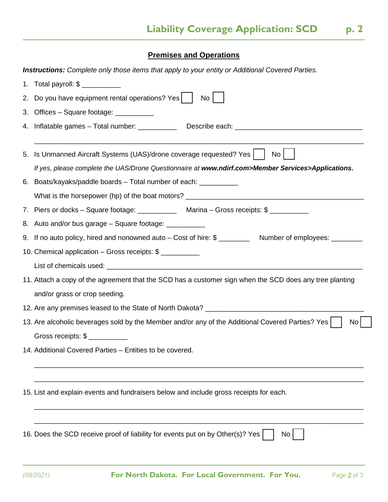## **Premises and Operations**

 $\overline{a}$ 

|    | <b>Instructions:</b> Complete only those items that apply to your entity or Additional Covered Parties.    |  |  |  |  |
|----|------------------------------------------------------------------------------------------------------------|--|--|--|--|
|    |                                                                                                            |  |  |  |  |
| 2. | Do you have equipment rental operations? Yes<br>No <sub>1</sub>                                            |  |  |  |  |
| 3. | Offices - Square footage: ___________                                                                      |  |  |  |  |
|    |                                                                                                            |  |  |  |  |
| 5. | Is Unmanned Aircraft Systems (UAS)/drone coverage requested? Yes<br>No <sub>1</sub>                        |  |  |  |  |
|    | If yes, please complete the UAS/Drone Questionnaire at www.ndirf.com>Member Services>Applications.         |  |  |  |  |
| 6. | Boats/kayaks/paddle boards - Total number of each: ___________                                             |  |  |  |  |
|    |                                                                                                            |  |  |  |  |
|    | 7. Piers or docks - Square footage: ______________ Marina - Gross receipts: \$                             |  |  |  |  |
|    | 8. Auto and/or bus garage – Square footage: ___________                                                    |  |  |  |  |
|    | 9. If no auto policy, hired and nonowned auto – Cost of hire: \$ ___________ Number of employees: ________ |  |  |  |  |
|    | 10. Chemical application - Gross receipts: \$                                                              |  |  |  |  |
|    |                                                                                                            |  |  |  |  |
|    | 11. Attach a copy of the agreement that the SCD has a customer sign when the SCD does any tree planting    |  |  |  |  |
|    | and/or grass or crop seeding.                                                                              |  |  |  |  |
|    |                                                                                                            |  |  |  |  |
|    | 13. Are alcoholic beverages sold by the Member and/or any of the Additional Covered Parties? Yes<br>No     |  |  |  |  |
|    | Gross receipts: \$                                                                                         |  |  |  |  |
|    | 14. Additional Covered Parties - Entities to be covered.                                                   |  |  |  |  |
|    |                                                                                                            |  |  |  |  |
|    | 15. List and explain events and fundraisers below and include gross receipts for each.                     |  |  |  |  |
|    | 16. Does the SCD receive proof of liability for events put on by Other(s)? Yes<br>No                       |  |  |  |  |